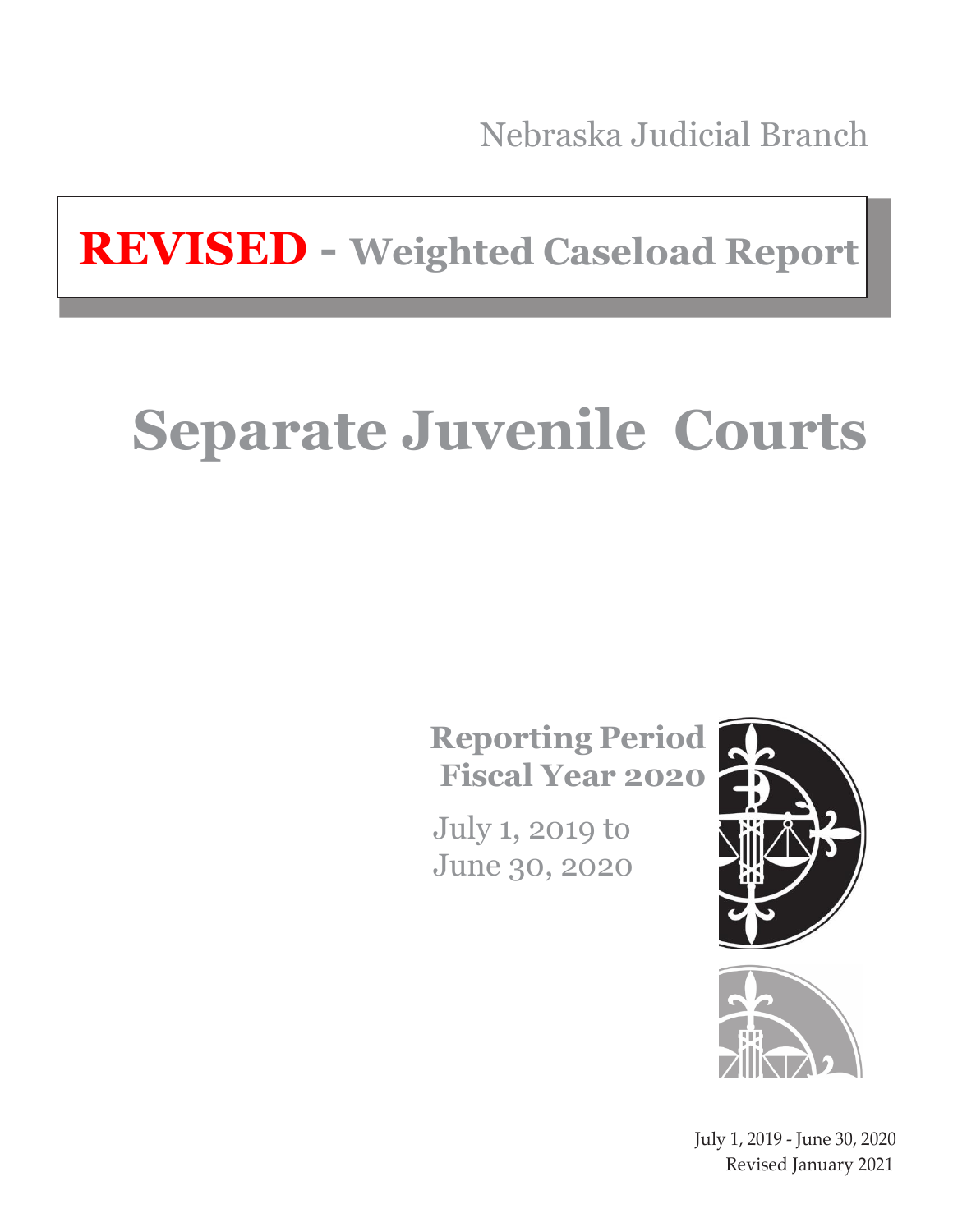Nebraska Judicial Branch

**REVISED - Weighted Caseload Report**

# **Separate Juvenile Courts**

**Reporting Period Fiscal Year 2020**

July 1, 2019 to June 30, 2020





July 1, 2019 - June 30, 2020 Revised January 2021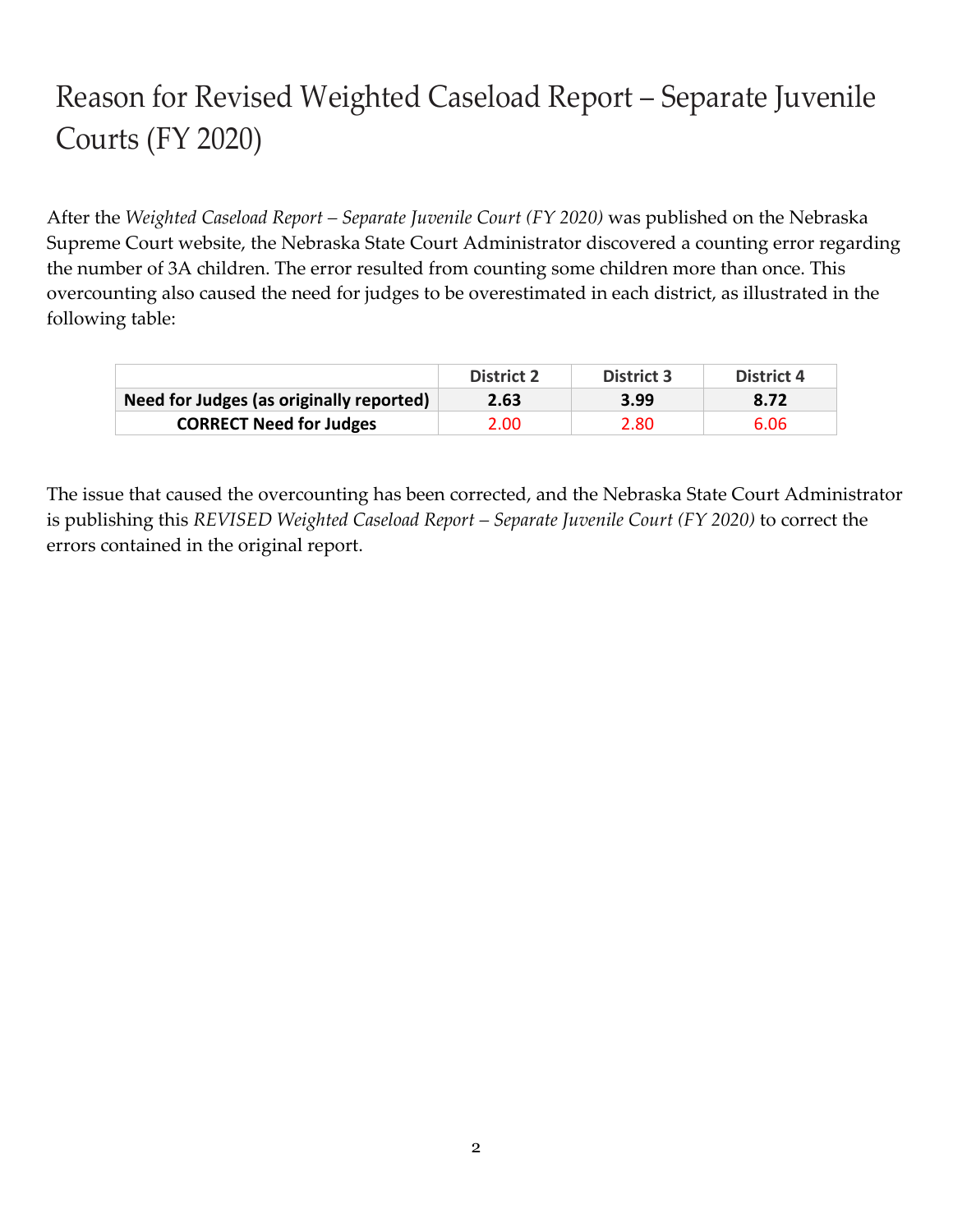# Reason for Revised Weighted Caseload Report – Separate Juvenile Courts (FY 2020)

After the *Weighted Caseload Report – Separate Juvenile Court (FY 2020)* was published on the Nebraska Supreme Court website, the Nebraska State Court Administrator discovered a counting error regarding the number of 3A children. The error resulted from counting some children more than once. This overcounting also caused the need for judges to be overestimated in each district, as illustrated in the following table:

|                                          | <b>District 2</b> | <b>District 3</b> | District 4 |
|------------------------------------------|-------------------|-------------------|------------|
| Need for Judges (as originally reported) | 2.63              | 3.99              | 8.72       |
| <b>CORRECT Need for Judges</b>           | 2.00              | 2.80              | 6.06       |

The issue that caused the overcounting has been corrected, and the Nebraska State Court Administrator is publishing this *REVISED Weighted Caseload Report – Separate Juvenile Court (FY 2020)* to correct the errors contained in the original report.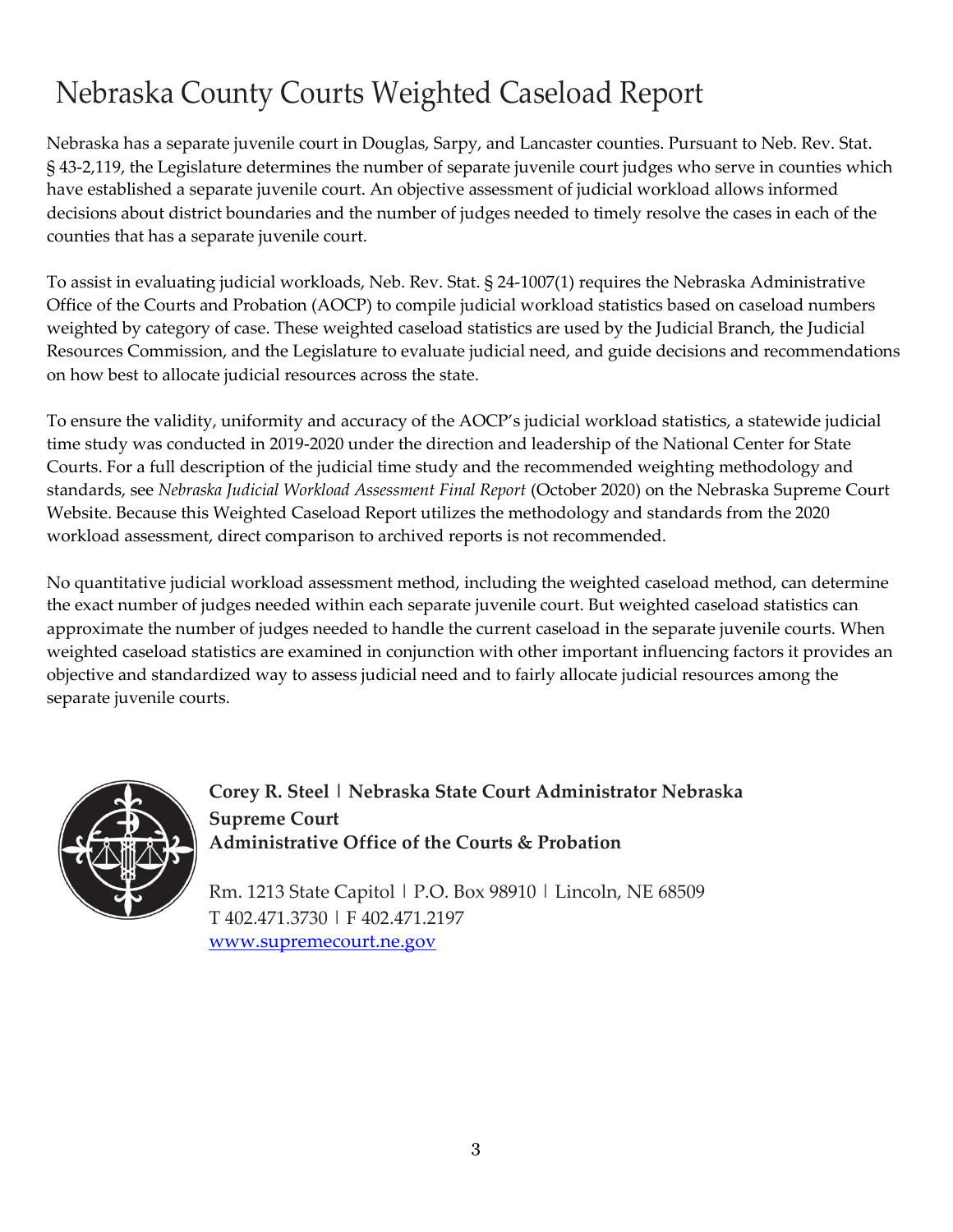# Nebraska County Courts Weighted Caseload Report

Nebraska has a separate juvenile court in Douglas, Sarpy, and Lancaster counties. Pursuant to Neb. Rev. Stat. § 43-2,119, the Legislature determines the number of separate juvenile court judges who serve in counties which have established a separate juvenile court. An objective assessment of judicial workload allows informed decisions about district boundaries and the number of judges needed to timely resolve the cases in each of the counties that has a separate juvenile court.

To assist in evaluating judicial workloads, Neb. Rev. Stat. § 24-1007(1) requires the Nebraska Administrative Office of the Courts and Probation (AOCP) to compile judicial workload statistics based on caseload numbers weighted by category of case. These weighted caseload statistics are used by the Judicial Branch, the Judicial Resources Commission, and the Legislature to evaluate judicial need, and guide decisions and recommendations on how best to allocate judicial resources across the state.

To ensure the validity, uniformity and accuracy of the AOCP's judicial workload statistics, a statewide judicial time study was conducted in 2019-2020 under the direction and leadership of the National Center for State Courts. For a full description of the judicial time study and the recommended weighting methodology and standards, see *Nebraska Judicial Workload Assessment Final Report* (October 2020) on the Nebraska Supreme Court Website. Because this Weighted Caseload Report utilizes the methodology and standards from the 2020 workload assessment, direct comparison to archived reports is not recommended.

No quantitative judicial workload assessment method, including the weighted caseload method, can determine the exact number of judges needed within each separate juvenile court. But weighted caseload statistics can approximate the number of judges needed to handle the current caseload in the separate juvenile courts. When weighted caseload statistics are examined in conjunction with other important influencing factors it provides an objective and standardized way to assess judicial need and to fairly allocate judicial resources among the separate juvenile courts.



**Corey R. Steel | Nebraska State Court Administrator Nebraska Supreme Court Administrative Office of the Courts & Probation**

Rm. 1213 State Capitol | P.O. Box 98910 | Lincoln, NE 68509 T 402.471.3730 | F 402.471.2197 [www.supremecourt.ne.gov](http://www.supremecourt.ne.gov/)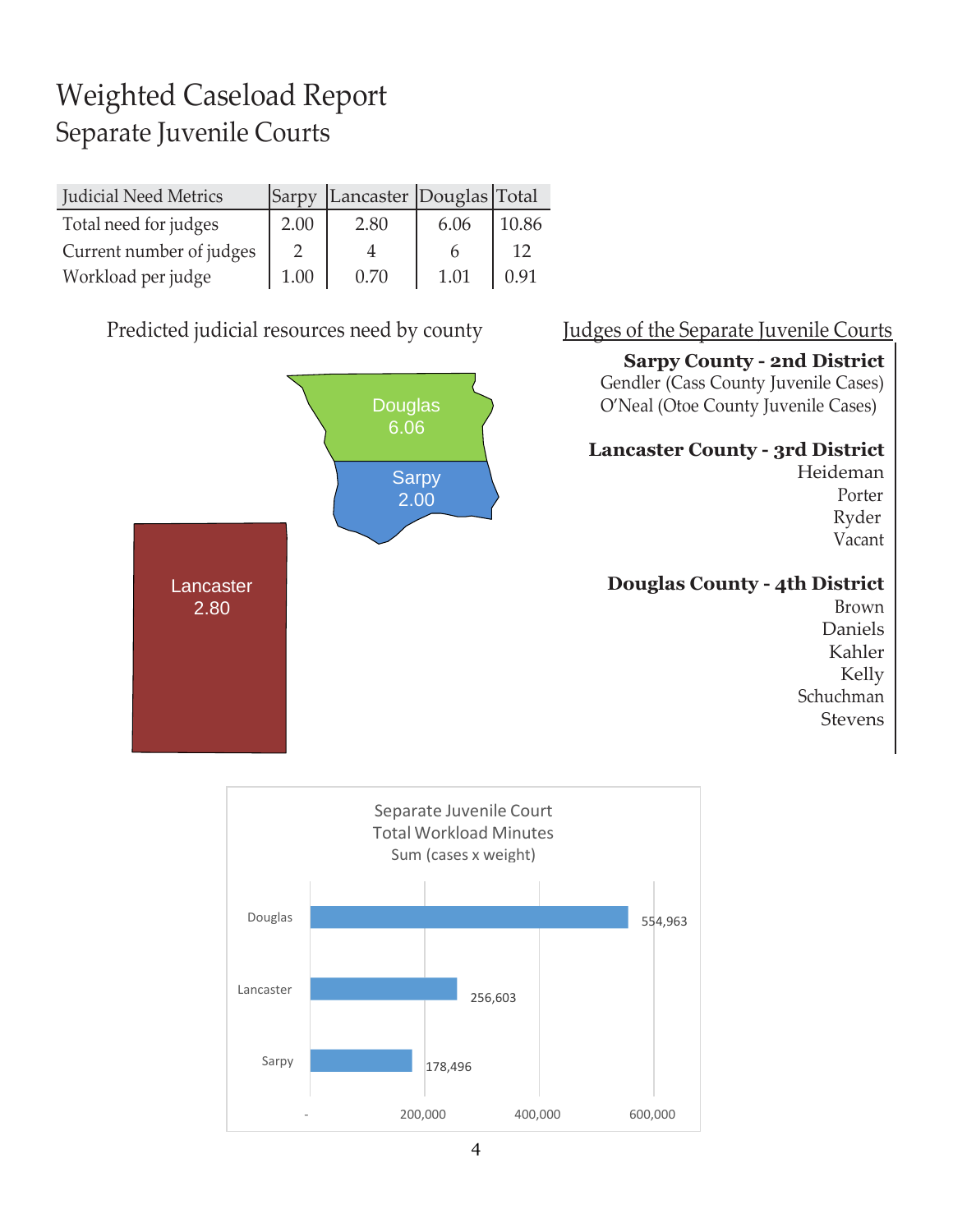# Weighted Caseload Report Separate Juvenile Courts

| <b>Judicial Need Metrics</b> | Sarpy | Lancaster Douglas Total |      |       |
|------------------------------|-------|-------------------------|------|-------|
| Total need for judges        | 2.00  | 2.80                    | 6.06 | 10.86 |
| Current number of judges     |       |                         |      |       |
| Workload per judge           | 1.00  | 0.70                    | 1.01 | 0.91  |

Predicted judicial resources need by county Judges of the Separate Juvenile Courts



### **Sarpy County - 2nd District**

Gendler (Cass County Juvenile Cases) O'Neal (Otoe County Juvenile Cases)

### **Lancaster County - 3rd District**

Heideman Porter Ryder Vacant

### **Douglas County - 4th District**

Brown Daniels Kahler Kelly Schuchman Stevens